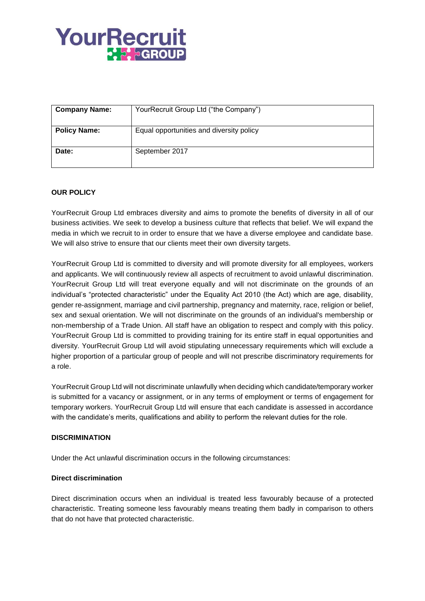# YourRecruit **P. S. GROUP**

| <b>Company Name:</b> | YourRecruit Group Ltd ("the Company")    |
|----------------------|------------------------------------------|
| <b>Policy Name:</b>  | Equal opportunities and diversity policy |
| Date:                | September 2017                           |

## **OUR POLICY**

YourRecruit Group Ltd embraces diversity and aims to promote the benefits of diversity in all of our business activities. We seek to develop a business culture that reflects that belief. We will expand the media in which we recruit to in order to ensure that we have a diverse employee and candidate base. We will also strive to ensure that our clients meet their own diversity targets.

YourRecruit Group Ltd is committed to diversity and will promote diversity for all employees, workers and applicants. We will continuously review all aspects of recruitment to avoid unlawful discrimination. YourRecruit Group Ltd will treat everyone equally and will not discriminate on the grounds of an individual's "protected characteristic" under the Equality Act 2010 (the Act) which are age, disability, gender re-assignment, marriage and civil partnership, pregnancy and maternity, race, religion or belief, sex and sexual orientation. We will not discriminate on the grounds of an individual's membership or non-membership of a Trade Union. All staff have an obligation to respect and comply with this policy. YourRecruit Group Ltd is committed to providing training for its entire staff in equal opportunities and diversity. YourRecruit Group Ltd will avoid stipulating unnecessary requirements which will exclude a higher proportion of a particular group of people and will not prescribe discriminatory requirements for a role.

YourRecruit Group Ltd will not discriminate unlawfully when deciding which candidate/temporary worker is submitted for a vacancy or assignment, or in any terms of employment or terms of engagement for temporary workers. YourRecruit Group Ltd will ensure that each candidate is assessed in accordance with the candidate's merits, qualifications and ability to perform the relevant duties for the role.

### **DISCRIMINATION**

Under the Act unlawful discrimination occurs in the following circumstances:

### **Direct discrimination**

Direct discrimination occurs when an individual is treated less favourably because of a protected characteristic. Treating someone less favourably means treating them badly in comparison to others that do not have that protected characteristic.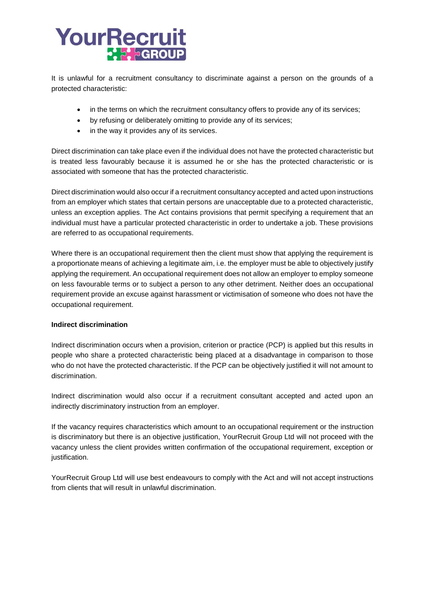# YourRecruit  $\sim$   $\sim$   $\sim$  GROUP

It is unlawful for a recruitment consultancy to discriminate against a person on the grounds of a protected characteristic:

- in the terms on which the recruitment consultancy offers to provide any of its services;
- by refusing or deliberately omitting to provide any of its services;
- in the way it provides any of its services.

Direct discrimination can take place even if the individual does not have the protected characteristic but is treated less favourably because it is assumed he or she has the protected characteristic or is associated with someone that has the protected characteristic.

Direct discrimination would also occur if a recruitment consultancy accepted and acted upon instructions from an employer which states that certain persons are unacceptable due to a protected characteristic, unless an exception applies. The Act contains provisions that permit specifying a requirement that an individual must have a particular protected characteristic in order to undertake a job. These provisions are referred to as occupational requirements.

Where there is an occupational requirement then the client must show that applying the requirement is a proportionate means of achieving a legitimate aim, i.e. the employer must be able to objectively justify applying the requirement. An occupational requirement does not allow an employer to employ someone on less favourable terms or to subject a person to any other detriment. Neither does an occupational requirement provide an excuse against harassment or victimisation of someone who does not have the occupational requirement.

## **Indirect discrimination**

Indirect discrimination occurs when a provision, criterion or practice (PCP) is applied but this results in people who share a protected characteristic being placed at a disadvantage in comparison to those who do not have the protected characteristic. If the PCP can be objectively justified it will not amount to discrimination.

Indirect discrimination would also occur if a recruitment consultant accepted and acted upon an indirectly discriminatory instruction from an employer.

If the vacancy requires characteristics which amount to an occupational requirement or the instruction is discriminatory but there is an objective justification, YourRecruit Group Ltd will not proceed with the vacancy unless the client provides written confirmation of the occupational requirement, exception or justification.

YourRecruit Group Ltd will use best endeavours to comply with the Act and will not accept instructions from clients that will result in unlawful discrimination.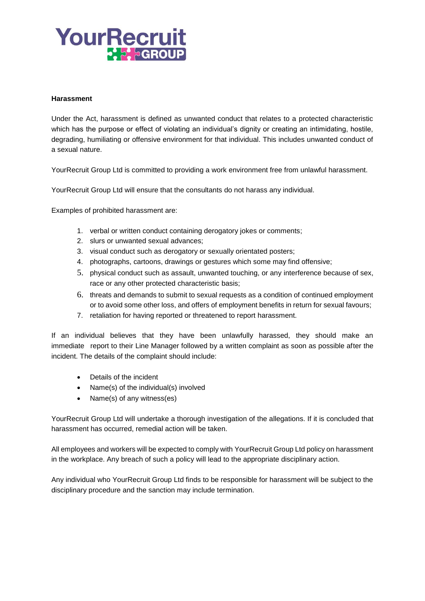# YourRecruit  $\sim$   $\frac{1}{2}$  agroup

#### **Harassment**

Under the Act, harassment is defined as unwanted conduct that relates to a protected characteristic which has the purpose or effect of violating an individual's dignity or creating an intimidating, hostile, degrading, humiliating or offensive environment for that individual. This includes unwanted conduct of a sexual nature.

YourRecruit Group Ltd is committed to providing a work environment free from unlawful harassment.

YourRecruit Group Ltd will ensure that the consultants do not harass any individual.

Examples of prohibited harassment are:

- 1. verbal or written conduct containing derogatory jokes or comments;
- 2. slurs or unwanted sexual advances;
- 3. visual conduct such as derogatory or sexually orientated posters;
- 4. photographs, cartoons, drawings or gestures which some may find offensive;
- 5. physical conduct such as assault, unwanted touching, or any interference because of sex, race or any other protected characteristic basis;
- 6. threats and demands to submit to sexual requests as a condition of continued employment or to avoid some other loss, and offers of employment benefits in return for sexual favours;
- 7. retaliation for having reported or threatened to report harassment.

If an individual believes that they have been unlawfully harassed, they should make an immediate report to their Line Manager followed by a written complaint as soon as possible after the incident. The details of the complaint should include:

- Details of the incident
- Name(s) of the individual(s) involved
- Name(s) of any witness(es)

YourRecruit Group Ltd will undertake a thorough investigation of the allegations. If it is concluded that harassment has occurred, remedial action will be taken.

All employees and workers will be expected to comply with YourRecruit Group Ltd policy on harassment in the workplace. Any breach of such a policy will lead to the appropriate disciplinary action.

Any individual who YourRecruit Group Ltd finds to be responsible for harassment will be subject to the disciplinary procedure and the sanction may include termination.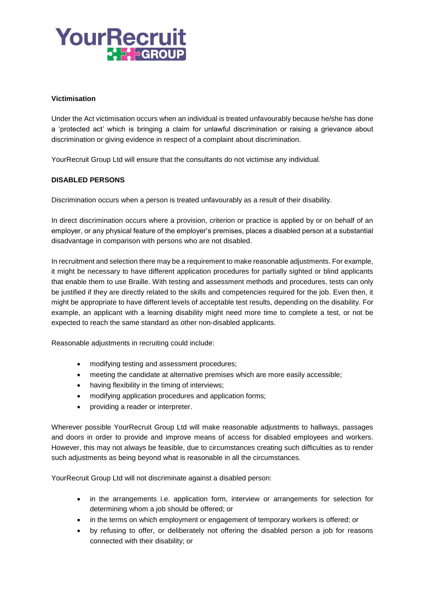# YourRecruit **P. S. SGROUP**

### **Victimisation**

Under the Act victimisation occurs when an individual is treated unfavourably because he/she has done a 'protected act' which is bringing a claim for unlawful discrimination or raising a grievance about discrimination or giving evidence in respect of a complaint about discrimination.

YourRecruit Group Ltd will ensure that the consultants do not victimise any individual.

### **DISABLED PERSONS**

Discrimination occurs when a person is treated unfavourably as a result of their disability.

In direct discrimination occurs where a provision, criterion or practice is applied by or on behalf of an employer, or any physical feature of the employer's premises, places a disabled person at a substantial disadvantage in comparison with persons who are not disabled.

In recruitment and selection there may be a requirement to make reasonable adjustments. For example, it might be necessary to have different application procedures for partially sighted or blind applicants that enable them to use Braille. With testing and assessment methods and procedures, tests can only be justified if they are directly related to the skills and competencies required for the job. Even then, it might be appropriate to have different levels of acceptable test results, depending on the disability. For example, an applicant with a learning disability might need more time to complete a test, or not be expected to reach the same standard as other non-disabled applicants.

Reasonable adjustments in recruiting could include:

- modifying testing and assessment procedures;
- meeting the candidate at alternative premises which are more easily accessible;
- having flexibility in the timing of interviews;
- modifying application procedures and application forms;
- providing a reader or interpreter.

Wherever possible YourRecruit Group Ltd will make reasonable adjustments to hallways, passages and doors in order to provide and improve means of access for disabled employees and workers. However, this may not always be feasible, due to circumstances creating such difficulties as to render such adjustments as being beyond what is reasonable in all the circumstances.

YourRecruit Group Ltd will not discriminate against a disabled person:

- in the arrangements i.e. application form, interview or arrangements for selection for determining whom a job should be offered; or
- in the terms on which employment or engagement of temporary workers is offered; or
- by refusing to offer, or deliberately not offering the disabled person a job for reasons connected with their disability; or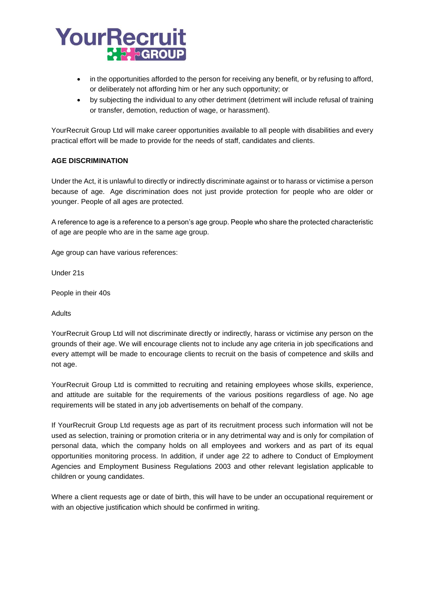# YourRecruit **P. P. PGROUP**

- in the opportunities afforded to the person for receiving any benefit, or by refusing to afford, or deliberately not affording him or her any such opportunity; or
- by subjecting the individual to any other detriment (detriment will include refusal of training or transfer, demotion, reduction of wage, or harassment).

YourRecruit Group Ltd will make career opportunities available to all people with disabilities and every practical effort will be made to provide for the needs of staff, candidates and clients.

## **AGE DISCRIMINATION**

Under the Act, it is unlawful to directly or indirectly discriminate against or to harass or victimise a person because of age. Age discrimination does not just provide protection for people who are older or younger. People of all ages are protected.

A reference to age is a reference to a person's age group. People who share the protected characteristic of age are people who are in the same age group.

Age group can have various references:

Under 21s

People in their 40s

Adults

YourRecruit Group Ltd will not discriminate directly or indirectly, harass or victimise any person on the grounds of their age. We will encourage clients not to include any age criteria in job specifications and every attempt will be made to encourage clients to recruit on the basis of competence and skills and not age.

YourRecruit Group Ltd is committed to recruiting and retaining employees whose skills, experience, and attitude are suitable for the requirements of the various positions regardless of age. No age requirements will be stated in any job advertisements on behalf of the company.

If YourRecruit Group Ltd requests age as part of its recruitment process such information will not be used as selection, training or promotion criteria or in any detrimental way and is only for compilation of personal data, which the company holds on all employees and workers and as part of its equal opportunities monitoring process. In addition, if under age 22 to adhere to Conduct of Employment Agencies and Employment Business Regulations 2003 and other relevant legislation applicable to children or young candidates.

Where a client requests age or date of birth, this will have to be under an occupational requirement or with an objective justification which should be confirmed in writing.